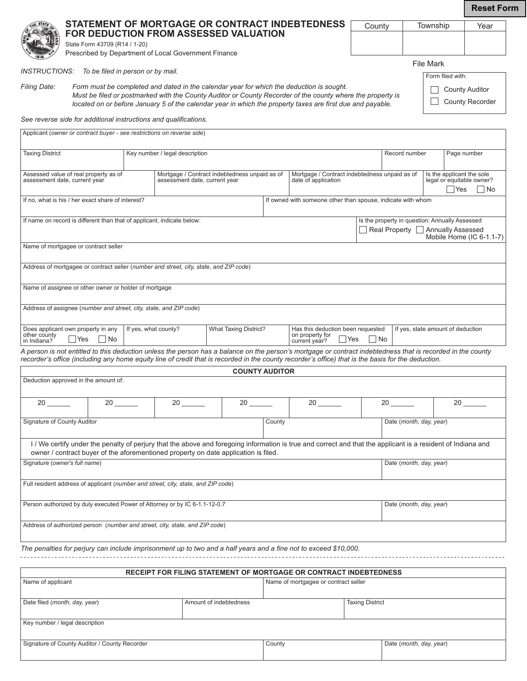**Reset Form**

|                                                                                                                                                                                                                          |                                                                                                                                            |                      |    |                                                                                                                                                                                                                                                                                                                   |        |                                                             |                                                                                   |                                                                                                                 |                                   | RESEL FUI   |
|--------------------------------------------------------------------------------------------------------------------------------------------------------------------------------------------------------------------------|--------------------------------------------------------------------------------------------------------------------------------------------|----------------------|----|-------------------------------------------------------------------------------------------------------------------------------------------------------------------------------------------------------------------------------------------------------------------------------------------------------------------|--------|-------------------------------------------------------------|-----------------------------------------------------------------------------------|-----------------------------------------------------------------------------------------------------------------|-----------------------------------|-------------|
|                                                                                                                                                                                                                          |                                                                                                                                            |                      |    | STATEMENT OF MORTGAGE OR CONTRACT INDEBTEDNESS                                                                                                                                                                                                                                                                    |        |                                                             | County                                                                            |                                                                                                                 | Township                          | Year        |
|                                                                                                                                                                                                                          | State Form 43709 (R14 / 1-20)                                                                                                              |                      |    | FOR DEDUCTION FROM ASSESSED VALUATION                                                                                                                                                                                                                                                                             |        |                                                             |                                                                                   |                                                                                                                 |                                   |             |
|                                                                                                                                                                                                                          | Prescribed by Department of Local Government Finance                                                                                       |                      |    |                                                                                                                                                                                                                                                                                                                   |        |                                                             |                                                                                   |                                                                                                                 | <b>File Mark</b>                  |             |
| <b>INSTRUCTIONS:</b>                                                                                                                                                                                                     | To be filed in person or by mail.                                                                                                          |                      |    |                                                                                                                                                                                                                                                                                                                   |        |                                                             |                                                                                   |                                                                                                                 | Form filed with:                  |             |
| <b>Filing Date:</b><br>Form must be completed and dated in the calendar year for which the deduction is sought.                                                                                                          |                                                                                                                                            |                      |    |                                                                                                                                                                                                                                                                                                                   |        |                                                             |                                                                                   |                                                                                                                 | <b>County Auditor</b>             |             |
| Must be filed or postmarked with the County Auditor or County Recorder of the county where the property is<br>located on or before January 5 of the calendar year in which the property taxes are first due and payable. |                                                                                                                                            |                      |    |                                                                                                                                                                                                                                                                                                                   |        |                                                             | <b>County Recorder</b>                                                            |                                                                                                                 |                                   |             |
|                                                                                                                                                                                                                          | See reverse side for additional instructions and qualifications.<br>Applicant (owner or contract buyer - see restrictions on reverse side) |                      |    |                                                                                                                                                                                                                                                                                                                   |        |                                                             |                                                                                   |                                                                                                                 |                                   |             |
|                                                                                                                                                                                                                          |                                                                                                                                            |                      |    |                                                                                                                                                                                                                                                                                                                   |        |                                                             |                                                                                   |                                                                                                                 |                                   |             |
| Key number / legal description<br><b>Taxing District</b>                                                                                                                                                                 |                                                                                                                                            |                      |    |                                                                                                                                                                                                                                                                                                                   |        |                                                             |                                                                                   | Record number                                                                                                   |                                   | Page number |
| Assessed value of real property as of<br>assessment date, current year                                                                                                                                                   |                                                                                                                                            |                      |    | Mortgage / Contract indebtedness unpaid as of<br>assessment date, current year<br>date of application                                                                                                                                                                                                             |        |                                                             |                                                                                   | Is the applicant the sole<br>Mortgage / Contract indebtedness unpaid as of<br>legal or equitable owner?<br> Yes |                                   | No          |
|                                                                                                                                                                                                                          | If no, what is his / her exact share of interest?                                                                                          |                      |    |                                                                                                                                                                                                                                                                                                                   |        | If owned with someone other than spouse, indicate with whom |                                                                                   |                                                                                                                 |                                   |             |
| If name on record is different than that of applicant, indicate below:                                                                                                                                                   |                                                                                                                                            |                      |    |                                                                                                                                                                                                                                                                                                                   |        |                                                             | Is the property in question: Annually Assessed<br>Real Property Annually Assessed |                                                                                                                 |                                   |             |
| Name of mortgagee or contract seller                                                                                                                                                                                     |                                                                                                                                            |                      |    |                                                                                                                                                                                                                                                                                                                   |        |                                                             |                                                                                   | Mobile Home (IC 6-1.1-7)                                                                                        |                                   |             |
|                                                                                                                                                                                                                          |                                                                                                                                            |                      |    |                                                                                                                                                                                                                                                                                                                   |        |                                                             |                                                                                   |                                                                                                                 |                                   |             |
|                                                                                                                                                                                                                          | Address of mortgagee or contract seller (number and street, city, state, and ZIP code)                                                     |                      |    |                                                                                                                                                                                                                                                                                                                   |        |                                                             |                                                                                   |                                                                                                                 |                                   |             |
|                                                                                                                                                                                                                          | Name of assignee or other owner or holder of mortgage                                                                                      |                      |    |                                                                                                                                                                                                                                                                                                                   |        |                                                             |                                                                                   |                                                                                                                 |                                   |             |
|                                                                                                                                                                                                                          | Address of assignee (number and street, city, state, and ZIP code)                                                                         |                      |    |                                                                                                                                                                                                                                                                                                                   |        |                                                             |                                                                                   |                                                                                                                 |                                   |             |
|                                                                                                                                                                                                                          | Does applicant own property in any                                                                                                         | If yes, what county? |    | <b>What Taxing District?</b>                                                                                                                                                                                                                                                                                      |        | Has this deduction been requested                           |                                                                                   |                                                                                                                 | If yes, state amount of deduction |             |
| other county<br>in Indiana?                                                                                                                                                                                              | No<br>  Yes                                                                                                                                |                      |    |                                                                                                                                                                                                                                                                                                                   |        | on property for<br>current year?                            | l No<br> Yes                                                                      |                                                                                                                 |                                   |             |
|                                                                                                                                                                                                                          |                                                                                                                                            |                      |    | A person is not entitled to this deduction unless the person has a balance on the person's mortgage or contract indebtedness that is recorded in the county<br>recorder's office (including any home equity line of credit that is recorded in the county recorder's office) that is the basis for the deduction. |        |                                                             |                                                                                   |                                                                                                                 |                                   |             |
|                                                                                                                                                                                                                          |                                                                                                                                            |                      |    | <b>COUNTY AUDITOR</b>                                                                                                                                                                                                                                                                                             |        |                                                             |                                                                                   |                                                                                                                 |                                   |             |
|                                                                                                                                                                                                                          | Deduction approved in the amount of:                                                                                                       |                      |    |                                                                                                                                                                                                                                                                                                                   |        |                                                             |                                                                                   |                                                                                                                 |                                   |             |
| 20                                                                                                                                                                                                                       | 20                                                                                                                                         |                      | 20 | 20                                                                                                                                                                                                                                                                                                                |        | $20$ $-$                                                    |                                                                                   | 20                                                                                                              | 20                                |             |
|                                                                                                                                                                                                                          |                                                                                                                                            |                      |    |                                                                                                                                                                                                                                                                                                                   |        |                                                             |                                                                                   | Date (month, day, year)                                                                                         |                                   |             |
| Signature of County Auditor                                                                                                                                                                                              |                                                                                                                                            |                      |    |                                                                                                                                                                                                                                                                                                                   | County |                                                             |                                                                                   |                                                                                                                 |                                   |             |
|                                                                                                                                                                                                                          |                                                                                                                                            |                      |    | I/We certify under the penalty of perjury that the above and foregoing information is true and correct and that the applicant is a resident of Indiana and<br>owner / contract buyer of the aforementioned property on date application is filed.                                                                 |        |                                                             |                                                                                   |                                                                                                                 |                                   |             |
| Signature (owner's full name)                                                                                                                                                                                            |                                                                                                                                            |                      |    |                                                                                                                                                                                                                                                                                                                   |        | Date (month, day, year)                                     |                                                                                   |                                                                                                                 |                                   |             |
|                                                                                                                                                                                                                          | Full resident address of applicant (number and street, city, state, and ZIP code)                                                          |                      |    |                                                                                                                                                                                                                                                                                                                   |        |                                                             |                                                                                   |                                                                                                                 |                                   |             |
| Person authorized by duly executed Power of Attorney or by IC 6-1.1-12-0.7                                                                                                                                               |                                                                                                                                            |                      |    |                                                                                                                                                                                                                                                                                                                   |        |                                                             | Date (month, day, year)                                                           |                                                                                                                 |                                   |             |
|                                                                                                                                                                                                                          | Address of authorized person (number and street, city, state, and ZIP code)                                                                |                      |    |                                                                                                                                                                                                                                                                                                                   |        |                                                             |                                                                                   |                                                                                                                 |                                   |             |
|                                                                                                                                                                                                                          |                                                                                                                                            |                      |    | The penalties for perjury can include imprisonment up to two and a half years and a fine not to exceed \$10,000.                                                                                                                                                                                                  |        |                                                             |                                                                                   |                                                                                                                 |                                   |             |
|                                                                                                                                                                                                                          |                                                                                                                                            |                      |    |                                                                                                                                                                                                                                                                                                                   |        |                                                             |                                                                                   |                                                                                                                 |                                   |             |
|                                                                                                                                                                                                                          |                                                                                                                                            |                      |    | RECEIPT FOR FILING STATEMENT OF MORTGAGE OR CONTRACT INDEBTEDNESS                                                                                                                                                                                                                                                 |        |                                                             |                                                                                   |                                                                                                                 |                                   |             |
| Name of applicant                                                                                                                                                                                                        |                                                                                                                                            |                      |    |                                                                                                                                                                                                                                                                                                                   |        | Name of mortgagee or contract seller                        |                                                                                   |                                                                                                                 |                                   |             |
| Date filed (month, day, year)                                                                                                                                                                                            |                                                                                                                                            |                      |    | Amount of indebtedness                                                                                                                                                                                                                                                                                            |        | <b>Taxing District</b>                                      |                                                                                   |                                                                                                                 |                                   |             |

| Signature of County Auditor /<br>County Recorder | County | Date ( <i>month, day, year</i> ) |  |  |
|--------------------------------------------------|--------|----------------------------------|--|--|
|                                                  |        |                                  |  |  |

Key number / legal description